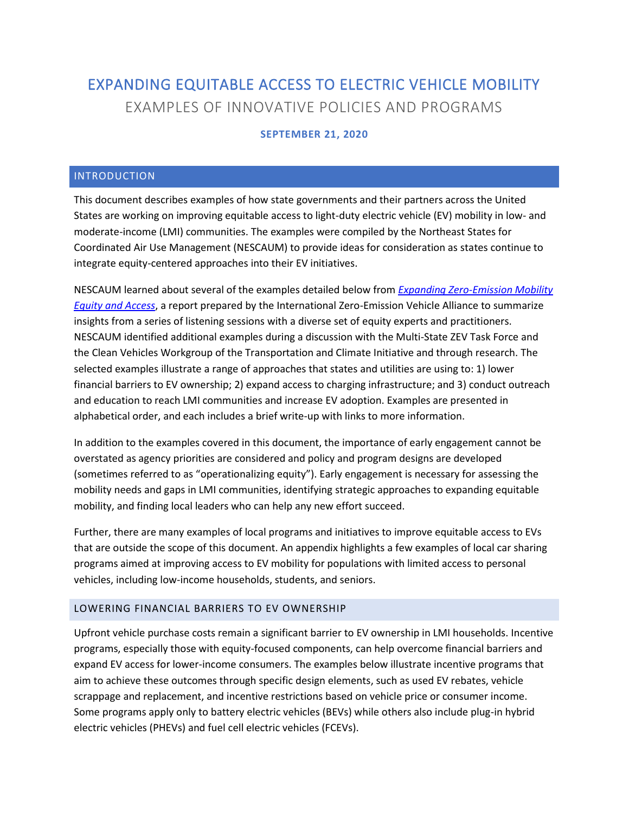# EXPANDING EQUITABLE ACCESS TO ELECTRIC VEHICLE MOBILITY EXAMPLES OF INNOVATIVE POLICIES AND PROGRAMS

## **SEPTEMBER 21, 2020**

#### INTRODUCTION

This document describes examples of how state governments and their partners across the United States are working on improving equitable access to light-duty electric vehicle (EV) mobility in low- and moderate-income (LMI) communities. The examples were compiled by the Northeast States for Coordinated Air Use Management (NESCAUM) to provide ideas for consideration as states continue to integrate equity-centered approaches into their EV initiatives.

NESCAUM learned about several of the examples detailed below from *[Expanding Zero-Emission Mobility](http://www.zevalliance.org/wp-content/uploads/2019/12/ZEV_access_workshop_report-_fv.pdf)  [Equity and Access](http://www.zevalliance.org/wp-content/uploads/2019/12/ZEV_access_workshop_report-_fv.pdf)*, a report prepared by the International Zero-Emission Vehicle Alliance to summarize insights from a series of listening sessions with a diverse set of equity experts and practitioners. NESCAUM identified additional examples during a discussion with the Multi-State ZEV Task Force and the Clean Vehicles Workgroup of the Transportation and Climate Initiative and through research. The selected examples illustrate a range of approaches that states and utilities are using to: 1) lower financial barriers to EV ownership; 2) expand access to charging infrastructure; and 3) conduct outreach and education to reach LMI communities and increase EV adoption. Examples are presented in alphabetical order, and each includes a brief write-up with links to more information.

In addition to the examples covered in this document, the importance of early engagement cannot be overstated as agency priorities are considered and policy and program designs are developed (sometimes referred to as "operationalizing equity"). Early engagement is necessary for assessing the mobility needs and gaps in LMI communities, identifying strategic approaches to expanding equitable mobility, and finding local leaders who can help any new effort succeed.

Further, there are many examples of local programs and initiatives to improve equitable access to EVs that are outside the scope of this document. An appendix highlights a few examples of local car sharing programs aimed at improving access to EV mobility for populations with limited access to personal vehicles, including low-income households, students, and seniors.

#### LOWERING FINANCIAL BARRIERS TO EV OWNERSHIP

Upfront vehicle purchase costs remain a significant barrier to EV ownership in LMI households. Incentive programs, especially those with equity-focused components, can help overcome financial barriers and expand EV access for lower-income consumers. The examples below illustrate incentive programs that aim to achieve these outcomes through specific design elements, such as used EV rebates, vehicle scrappage and replacement, and incentive restrictions based on vehicle price or consumer income. Some programs apply only to battery electric vehicles (BEVs) while others also include plug-in hybrid electric vehicles (PHEVs) and fuel cell electric vehicles (FCEVs).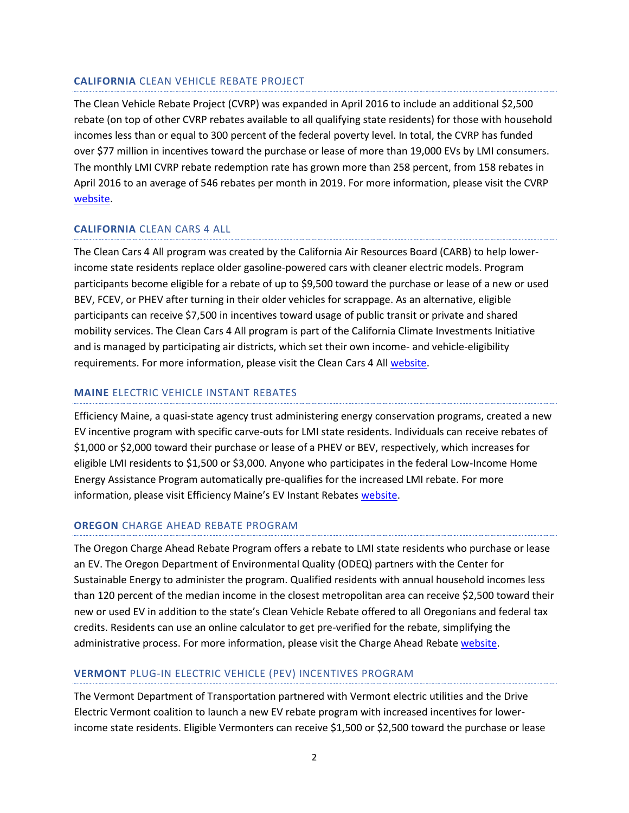#### **CALIFORNIA** CLEAN VEHICLE REBATE PROJECT

The Clean Vehicle Rebate Project (CVRP) was expanded in April 2016 to include an additional \$2,500 rebate (on top of other CVRP rebates available to all qualifying state residents) for those with household incomes less than or equal to 300 percent of the federal poverty level. In total, the CVRP has funded over \$77 million in incentives toward the purchase or lease of more than 19,000 EVs by LMI consumers. The monthly LMI CVRP rebate redemption rate has grown more than 258 percent, from 158 rebates in April 2016 to an average of 546 rebates per month in 2019. For more information, please visit the CVRP [website.](https://cleanvehiclerebate.org/eng/rebate-statistics)

#### **CALIFORNIA** CLEAN CARS 4 ALL

The Clean Cars 4 All program was created by the California Air Resources Board (CARB) to help lowerincome state residents replace older gasoline-powered cars with cleaner electric models. Program participants become eligible for a rebate of up to \$9,500 toward the purchase or lease of a new or used BEV, FCEV, or PHEV after turning in their older vehicles for scrappage. As an alternative, eligible participants can receive \$7,500 in incentives toward usage of public transit or private and shared mobility services. The Clean Cars 4 All program is part of the California Climate Investments Initiative and is managed by participating air districts, which set their own income- and vehicle-eligibility requirements. For more information, please visit the Clean Cars 4 All [website.](https://ww2.arb.ca.gov/our-work/programs/clean-cars-4-all)

## **MAINE** ELECTRIC VEHICLE INSTANT REBATES

Efficiency Maine, a quasi-state agency trust administering energy conservation programs, created a new EV incentive program with specific carve-outs for LMI state residents. Individuals can receive rebates of \$1,000 or \$2,000 toward their purchase or lease of a PHEV or BEV, respectively, which increases for eligible LMI residents to \$1,500 or \$3,000. Anyone who participates in the federal Low-Income Home Energy Assistance Program automatically pre-qualifies for the increased LMI rebate. For more information, please visit Efficiency Maine's EV Instant Rebates [website.](https://www.efficiencymaine.com/ev/electric-vehicle-rebates/)

#### **OREGON** CHARGE AHEAD REBATE PROGRAM

The Oregon Charge Ahead Rebate Program offers a rebate to LMI state residents who purchase or lease an EV. The Oregon Department of Environmental Quality (ODEQ) partners with the Center for Sustainable Energy to administer the program. Qualified residents with annual household incomes less than 120 percent of the median income in the closest metropolitan area can receive \$2,500 toward their new or used EV in addition to the state's Clean Vehicle Rebate offered to all Oregonians and federal tax credits. Residents can use an online calculator to get pre-verified for the rebate, simplifying the administrative process. For more information, please visit the Charge Ahead Rebate [website.](https://www.oregon.gov/deq/aq/programs/Pages/Charge-Ahead-Rebate.aspx)

## **VERMONT** PLUG-IN ELECTRIC VEHICLE (PEV) INCENTIVES PROGRAM

The Vermont Department of Transportation partnered with Vermont electric utilities and the Drive Electric Vermont coalition to launch a new EV rebate program with increased incentives for lowerincome state residents. Eligible Vermonters can receive \$1,500 or \$2,500 toward the purchase or lease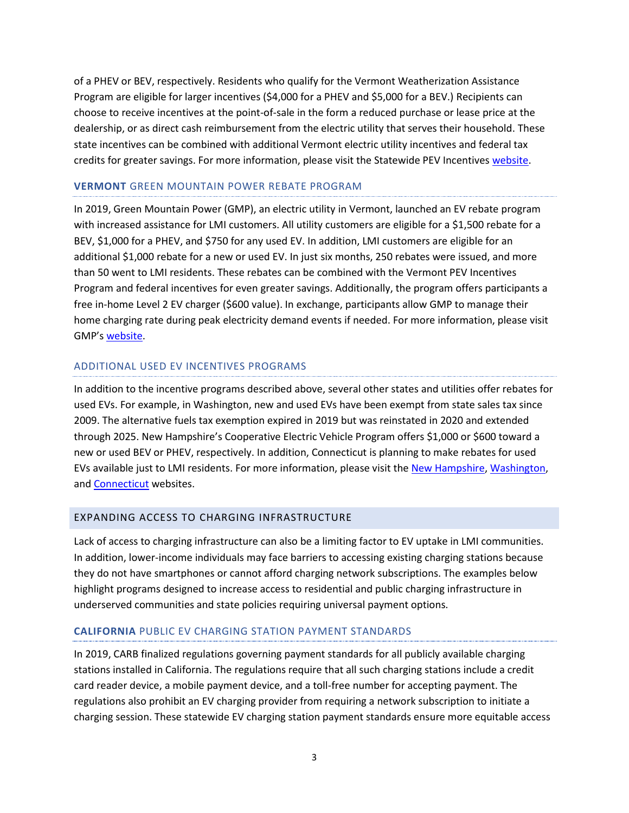of a PHEV or BEV, respectively. Residents who qualify for the Vermont Weatherization Assistance Program are eligible for larger incentives (\$4,000 for a PHEV and \$5,000 for a BEV.) Recipients can choose to receive incentives at the point-of-sale in the form a reduced purchase or lease price at the dealership, or as direct cash reimbursement from the electric utility that serves their household. These state incentives can be combined with additional Vermont electric utility incentives and federal tax credits for greater savings. For more information, please visit the Statewide PEV Incentives [website.](https://vtrans.vermont.gov/planning/projects-programs/vehicle-incentives)

#### **VERMONT** GREEN MOUNTAIN POWER REBATE PROGRAM

In 2019, Green Mountain Power (GMP), an electric utility in Vermont, launched an EV rebate program with increased assistance for LMI customers. All utility customers are eligible for a \$1,500 rebate for a BEV, \$1,000 for a PHEV, and \$750 for any used EV. In addition, LMI customers are eligible for an additional \$1,000 rebate for a new or used EV. In just six months, 250 rebates were issued, and more than 50 went to LMI residents. These rebates can be combined with the Vermont PEV Incentives Program and federal incentives for even greater savings. Additionally, the program offers participants a free in-home Level 2 EV charger (\$600 value). In exchange, participants allow GMP to manage their home charging rate during peak electricity demand events if needed. For more information, please visit GMP's [website.](https://greenmountainpower.com/product/ev-rebate/#:~:text=All%20customers%20can%20get%20%241%2C500,used%2C%20you%20can%20get%20%24750.)

#### ADDITIONAL USED EV INCENTIVES PROGRAMS

In addition to the incentive programs described above, several other states and utilities offer rebates for used EVs. For example, in Washington, new and used EVs have been exempt from state sales tax since 2009. The alternative fuels tax exemption expired in 2019 but was reinstated in 2020 and extended through 2025. New Hampshire's Cooperative Electric Vehicle Program offers \$1,000 or \$600 toward a new or used BEV or PHEV, respectively. In addition, Connecticut is planning to make rebates for used EVs available just to LMI residents. For more information, please visit the [New Hampshire,](https://www.nhec.com/drive-electric/) [Washington,](https://dor.wa.gov/content/clean-alternative-fuel-and-plug-hybrid-vehicles-salesuse-tax-exemptions) and [Connecticut](https://portal.ct.gov/DEEP/Air/Mobile-Sources/CHEAPR/CHEAPR---Home) websites.

#### EXPANDING ACCESS TO CHARGING INFRASTRUCTURE

Lack of access to charging infrastructure can also be a limiting factor to EV uptake in LMI communities. In addition, lower-income individuals may face barriers to accessing existing charging stations because they do not have smartphones or cannot afford charging network subscriptions. The examples below highlight programs designed to increase access to residential and public charging infrastructure in underserved communities and state policies requiring universal payment options.

#### **CALIFORNIA** PUBLIC EV CHARGING STATION PAYMENT STANDARDS

In 2019, CARB finalized regulations governing payment standards for all publicly available charging stations installed in California. The regulations require that all such charging stations include a credit card reader device, a mobile payment device, and a toll-free number for accepting payment. The regulations also prohibit an EV charging provider from requiring a network subscription to initiate a charging session. These statewide EV charging station payment standards ensure more equitable access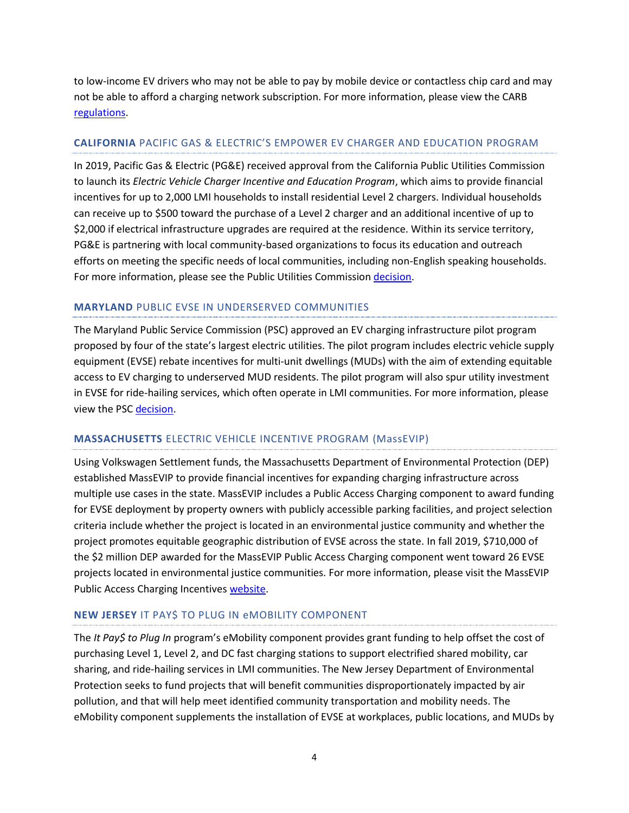to low-income EV drivers who may not be able to pay by mobile device or contactless chip card and may not be able to afford a charging network subscription. For more information, please view the CARB [regulations.](https://ww2.arb.ca.gov/sites/default/files/2020-06/evse_fro_ac.pdf)

## **CALIFORNIA** PACIFIC GAS & ELECTRIC'S EMPOWER EV CHARGER AND EDUCATION PROGRAM

In 2019, Pacific Gas & Electric (PG&E) received approval from the California Public Utilities Commission to launch its *Electric Vehicle Charger Incentive and Education Program*, which aims to provide financial incentives for up to 2,000 LMI households to install residential Level 2 chargers. Individual households can receive up to \$500 toward the purchase of a Level 2 charger and an additional incentive of up to \$2,000 if electrical infrastructure upgrades are required at the residence. Within its service territory, PG&E is partnering with local community-based organizations to focus its education and outreach efforts on meeting the specific needs of local communities, including non-English speaking households. For more information, please see the Public Utilities Commissio[n decision.](https://docs.cpuc.ca.gov/PublishedDocs/Published/G000/M314/K145/314145047.PDF)

## **MARYLAND** PUBLIC EVSE IN UNDERSERVED COMMUNITIES

The Maryland Public Service Commission (PSC) approved an EV charging infrastructure pilot program proposed by four of the state's largest electric utilities. The pilot program includes electric vehicle supply equipment (EVSE) rebate incentives for multi-unit dwellings (MUDs) with the aim of extending equitable access to EV charging to underserved MUD residents. The pilot program will also spur utility investment in EVSE for ride-hailing services, which often operate in LMI communities. For more information, please view the PSC [decision.](https://www.psc.state.md.us/wp-content/uploads/MD-PSC-Approves-Modified-Utility-EV-Charging-Portfolio_01142019-1.pdf)

#### **MASSACHUSETTS** ELECTRIC VEHICLE INCENTIVE PROGRAM (MassEVIP)

Using Volkswagen Settlement funds, the Massachusetts Department of Environmental Protection (DEP) established MassEVIP to provide financial incentives for expanding charging infrastructure across multiple use cases in the state. MassEVIP includes a Public Access Charging component to award funding for EVSE deployment by property owners with publicly accessible parking facilities, and project selection criteria include whether the project is located in an environmental justice community and whether the project promotes equitable geographic distribution of EVSE across the state. In fall 2019, \$710,000 of the \$2 million DEP awarded for the MassEVIP Public Access Charging component went toward 26 EVSE projects located in environmental justice communities. For more information, please visit the MassEVIP Public Access Charging Incentives [website.](https://www.mass.gov/how-to/apply-for-massevip-public-access-charging-incentives)

## **NEW JERSEY** IT PAY\$ TO PLUG IN eMOBILITY COMPONENT

The *It Pay\$ to Plug In* program's eMobility component provides grant funding to help offset the cost of purchasing Level 1, Level 2, and DC fast charging stations to support electrified shared mobility, car sharing, and ride-hailing services in LMI communities. The New Jersey Department of Environmental Protection seeks to fund projects that will benefit communities disproportionately impacted by air pollution, and that will help meet identified community transportation and mobility needs. The eMobility component supplements the installation of EVSE at workplaces, public locations, and MUDs by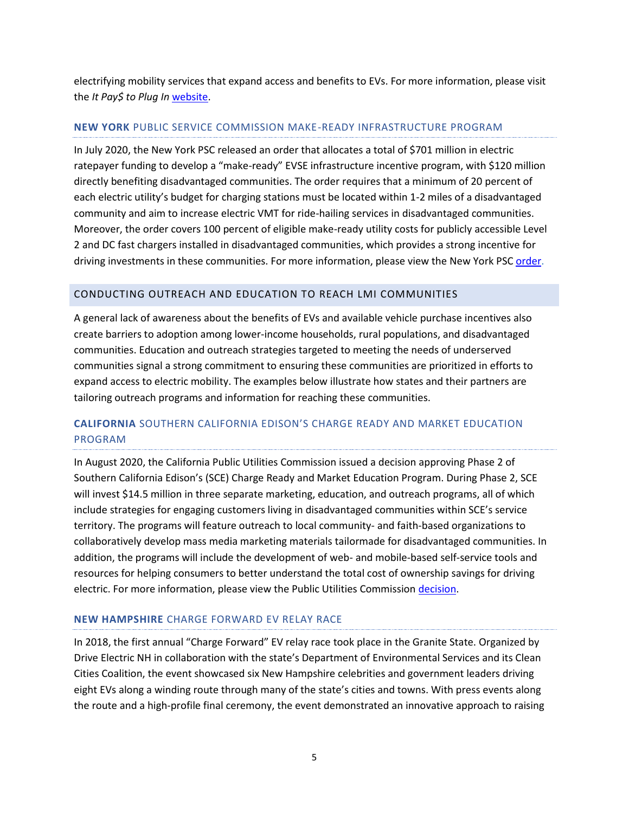electrifying mobility services that expand access and benefits to EVs. For more information, please visit the *It Pay\$ to Plug In* [website.](https://www.drivegreen.nj.gov/plugin.html)

#### **NEW YORK** PUBLIC SERVICE COMMISSION MAKE-READY INFRASTRUCTURE PROGRAM

In July 2020, the New York PSC released an order that allocates a total of \$701 million in electric ratepayer funding to develop a "make-ready" EVSE infrastructure incentive program, with \$120 million directly benefiting disadvantaged communities. The order requires that a minimum of 20 percent of each electric utility's budget for charging stations must be located within 1-2 miles of a disadvantaged community and aim to increase electric VMT for ride-hailing services in disadvantaged communities. Moreover, the order covers 100 percent of eligible make-ready utility costs for publicly accessible Level 2 and DC fast chargers installed in disadvantaged communities, which provides a strong incentive for driving investments in these communities. For more information, please view the New York PSC [order.](http://documents.dps.ny.gov/public/MatterManagement/CaseMaster.aspx?Mattercaseno=18-E-0138)

## CONDUCTING OUTREACH AND EDUCATION TO REACH LMI COMMUNITIES

A general lack of awareness about the benefits of EVs and available vehicle purchase incentives also create barriers to adoption among lower-income households, rural populations, and disadvantaged communities. Education and outreach strategies targeted to meeting the needs of underserved communities signal a strong commitment to ensuring these communities are prioritized in efforts to expand access to electric mobility. The examples below illustrate how states and their partners are tailoring outreach programs and information for reaching these communities.

## **CALIFORNIA** SOUTHERN CALIFORNIA EDISON'S CHARGE READY AND MARKET EDUCATION PROGRAM

In August 2020, the California Public Utilities Commission issued a decision approving Phase 2 of Southern California Edison's (SCE) Charge Ready and Market Education Program. During Phase 2, SCE will invest \$14.5 million in three separate marketing, education, and outreach programs, all of which include strategies for engaging customers living in disadvantaged communities within SCE's service territory. The programs will feature outreach to local community- and faith-based organizations to collaboratively develop mass media marketing materials tailormade for disadvantaged communities. In addition, the programs will include the development of web- and mobile-based self-service tools and resources for helping consumers to better understand the total cost of ownership savings for driving electric. For more information, please view the Public Utilities Commission [decision.](https://docs.cpuc.ca.gov/PublishedDocs/Efile/G000/M344/K059/344059748.PDF)

#### **NEW HAMPSHIRE** CHARGE FORWARD EV RELAY RACE

In 2018, the first annual "Charge Forward" EV relay race took place in the Granite State. Organized by Drive Electric NH in collaboration with the state's Department of Environmental Services and its Clean Cities Coalition, the event showcased six New Hampshire celebrities and government leaders driving eight EVs along a winding route through many of the state's cities and towns. With press events along the route and a high-profile final ceremony, the event demonstrated an innovative approach to raising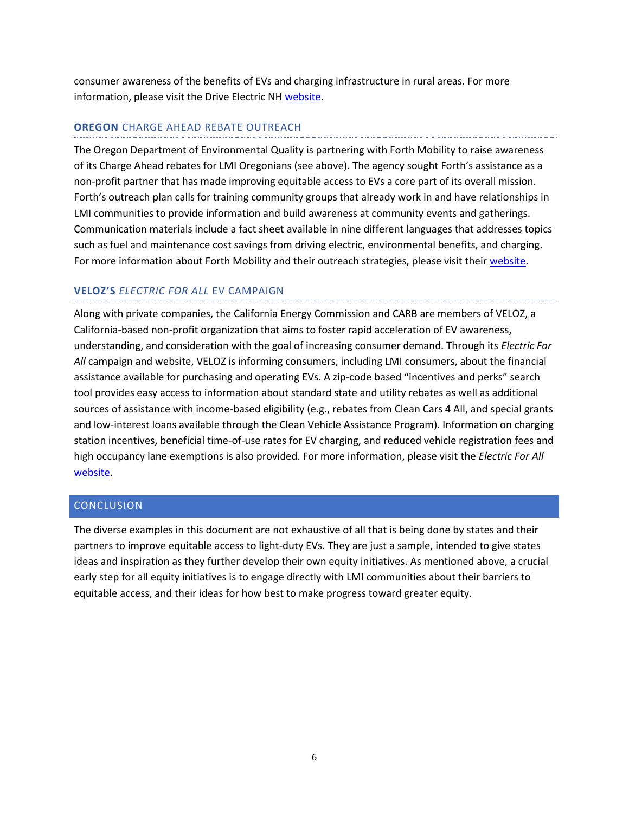consumer awareness of the benefits of EVs and charging infrastructure in rural areas. For more information, please visit the Drive Electric NH [website.](https://www.driveelectricnh.org/charge-forward-ev-relay)

## **OREGON** CHARGE AHEAD REBATE OUTREACH

The Oregon Department of Environmental Quality is partnering with Forth Mobility to raise awareness of its Charge Ahead rebates for LMI Oregonians (see above). The agency sought Forth's assistance as a non-profit partner that has made improving equitable access to EVs a core part of its overall mission. Forth's outreach plan calls for training community groups that already work in and have relationships in LMI communities to provide information and build awareness at community events and gatherings. Communication materials include a fact sheet available in nine different languages that addresses topics such as fuel and maintenance cost savings from driving electric, environmental benefits, and charging. For more information about Forth Mobility and their outreach strategies, please visit thei[r website.](https://forthmobility.org/)

## **VELOZ'S** *ELECTRIC FOR ALL* EV CAMPAIGN

Along with private companies, the California Energy Commission and CARB are members of VELOZ, a California-based non-profit organization that aims to foster rapid acceleration of EV awareness, understanding, and consideration with the goal of increasing consumer demand. Through its *Electric For All* campaign and website, VELOZ is informing consumers, including LMI consumers, about the financial assistance available for purchasing and operating EVs. A zip-code based "incentives and perks" search tool provides easy access to information about standard state and utility rebates as well as additional sources of assistance with income-based eligibility (e.g., rebates from Clean Cars 4 All, and special grants and low-interest loans available through the Clean Vehicle Assistance Program). Information on charging station incentives, beneficial time-of-use rates for EV charging, and reduced vehicle registration fees and high occupancy lane exemptions is also provided. For more information, please visit the *Electric For All*  [website.](https://www.electricforall.org/)

#### CONCLUSION

The diverse examples in this document are not exhaustive of all that is being done by states and their partners to improve equitable access to light-duty EVs. They are just a sample, intended to give states ideas and inspiration as they further develop their own equity initiatives. As mentioned above, a crucial early step for all equity initiatives is to engage directly with LMI communities about their barriers to equitable access, and their ideas for how best to make progress toward greater equity.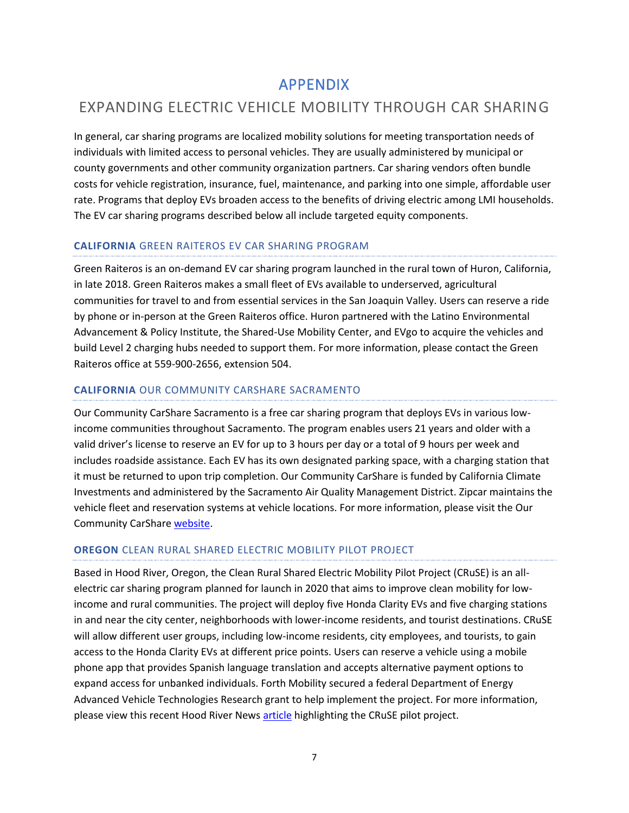## APPENDIX

## EXPANDING ELECTRIC VEHICLE MOBILITY THROUGH CAR SHARING

In general, car sharing programs are localized mobility solutions for meeting transportation needs of individuals with limited access to personal vehicles. They are usually administered by municipal or county governments and other community organization partners. Car sharing vendors often bundle costs for vehicle registration, insurance, fuel, maintenance, and parking into one simple, affordable user rate. Programs that deploy EVs broaden access to the benefits of driving electric among LMI households. The EV car sharing programs described below all include targeted equity components.

## **CALIFORNIA** GREEN RAITEROS EV CAR SHARING PROGRAM

Green Raiteros is an on-demand EV car sharing program launched in the rural town of Huron, California, in late 2018. Green Raiteros makes a small fleet of EVs available to underserved, agricultural communities for travel to and from essential services in the San Joaquin Valley. Users can reserve a ride by phone or in-person at the Green Raiteros office. Huron partnered with the Latino Environmental Advancement & Policy Institute, the Shared-Use Mobility Center, and EVgo to acquire the vehicles and build Level 2 charging hubs needed to support them. For more information, please contact the Green Raiteros office at 559-900-2656, extension 504.

## **CALIFORNIA** OUR COMMUNITY CARSHARE SACRAMENTO

Our Community CarShare Sacramento is a free car sharing program that deploys EVs in various lowincome communities throughout Sacramento. The program enables users 21 years and older with a valid driver's license to reserve an EV for up to 3 hours per day or a total of 9 hours per week and includes roadside assistance. Each EV has its own designated parking space, with a charging station that it must be returned to upon trip completion. Our Community CarShare is funded by California Climate Investments and administered by the Sacramento Air Quality Management District. Zipcar maintains the vehicle fleet and reservation systems at vehicle locations. For more information, please visit the Our Community CarShar[e website.](http://www.airquality.org/Our-Community-CarShare/Apply-for-Our-CarShare)

## **OREGON** CLEAN RURAL SHARED ELECTRIC MOBILITY PILOT PROJECT

Based in Hood River, Oregon, the Clean Rural Shared Electric Mobility Pilot Project (CRuSE) is an allelectric car sharing program planned for launch in 2020 that aims to improve clean mobility for lowincome and rural communities. The project will deploy five Honda Clarity EVs and five charging stations in and near the city center, neighborhoods with lower-income residents, and tourist destinations. CRuSE will allow different user groups, including low-income residents, city employees, and tourists, to gain access to the Honda Clarity EVs at different price points. Users can reserve a vehicle using a mobile phone app that provides Spanish language translation and accepts alternative payment options to expand access for unbanked individuals. Forth Mobility secured a federal Department of Energy Advanced Vehicle Technologies Research grant to help implement the project. For more information, please view this recent Hood River News [article](https://www.hoodrivernews.com/gorge-life/electric-car-share-program-to-start-trial-run-in-2020/article_0a807f78-d3e1-11e9-b577-47ef3d6ce260.html) highlighting the CRuSE pilot project.